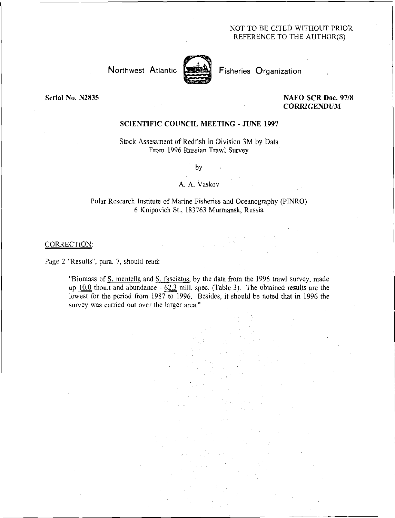## NOT TO BE CITED WITHOUT PRIOR REFERENCE TO THE AUTHOR(S)

Northwest Atlantic **Network** Fisheries Organization

# Serial No. N2835 NAFO SCR Doc. 97/8 **CORRIGENDUM**

## SCIENTIFIC COUNCIL MEETING - JUNE 1997

Stock Assessment of Redfish in Division 3M by Data From 1996 Russian Trawl Survey

by

## A. A. Vaskov

## Polar Research Institute of Marine Fisheries and Oceanography (PINRO) 6 Knipovich St., 183763 Murmansk, Russia

## CORRECTION:

Page 2 "Results", para. 7, should read:

"Biomass of S. mentella and S. fasciatus, by the data from the 1996 trawl survey, made up  $10.0$  thou.t and abundance  $-62.3$  mill. spec. (Table 3). The obtained results are the lowest for the period from 1987 to 1996. Besides, it should be noted that in 1996 the survey was carried out over the larger area."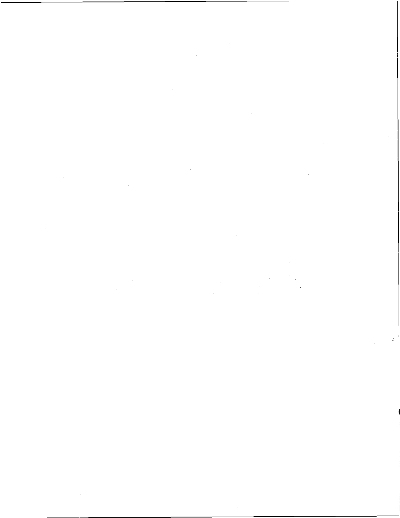# $\label{eq:2.1} \frac{1}{\sqrt{2}}\int_{\mathbb{R}^3} \frac{1}{\sqrt{2}}\left(\frac{1}{\sqrt{2}}\right)^2\left(\frac{1}{\sqrt{2}}\right)^2\left(\frac{1}{\sqrt{2}}\right)^2\left(\frac{1}{\sqrt{2}}\right)^2\left(\frac{1}{\sqrt{2}}\right)^2\left(\frac{1}{\sqrt{2}}\right)^2\left(\frac{1}{\sqrt{2}}\right)^2\left(\frac{1}{\sqrt{2}}\right)^2\left(\frac{1}{\sqrt{2}}\right)^2\left(\frac{1}{\sqrt{2}}\right)^2\left(\frac{1}{\sqrt{2}}\right)^2\left(\$

 $\label{eq:2.1} \frac{1}{\sqrt{2}}\int_{\mathbb{R}^3}\frac{1}{\sqrt{2}}\left(\frac{1}{\sqrt{2}}\right)^2\frac{1}{\sqrt{2}}\left(\frac{1}{\sqrt{2}}\right)^2\frac{1}{\sqrt{2}}\left(\frac{1}{\sqrt{2}}\right)^2\frac{1}{\sqrt{2}}\left(\frac{1}{\sqrt{2}}\right)^2\frac{1}{\sqrt{2}}\left(\frac{1}{\sqrt{2}}\right)^2\frac{1}{\sqrt{2}}\frac{1}{\sqrt{2}}\frac{1}{\sqrt{2}}\frac{1}{\sqrt{2}}\frac{1}{\sqrt{2}}\frac{1}{\sqrt{2}}$ 

 $\label{eq:2} \frac{1}{\sqrt{2}}\left(\frac{1}{\sqrt{2}}\right)^{2} \left(\frac{1}{\sqrt{2}}\right)^{2} \left(\frac{1}{\sqrt{2}}\right)^{2} \left(\frac{1}{\sqrt{2}}\right)^{2} \left(\frac{1}{\sqrt{2}}\right)^{2} \left(\frac{1}{\sqrt{2}}\right)^{2} \left(\frac{1}{\sqrt{2}}\right)^{2} \left(\frac{1}{\sqrt{2}}\right)^{2} \left(\frac{1}{\sqrt{2}}\right)^{2} \left(\frac{1}{\sqrt{2}}\right)^{2} \left(\frac{1}{\sqrt{2}}\right)^{2} \left(\frac{$  $\label{eq:2.1} \frac{1}{\sqrt{2}}\sum_{i=1}^n\frac{1}{\sqrt{2}}\sum_{i=1}^n\frac{1}{\sqrt{2}}\sum_{i=1}^n\frac{1}{\sqrt{2}}\sum_{i=1}^n\frac{1}{\sqrt{2}}\sum_{i=1}^n\frac{1}{\sqrt{2}}\sum_{i=1}^n\frac{1}{\sqrt{2}}\sum_{i=1}^n\frac{1}{\sqrt{2}}\sum_{i=1}^n\frac{1}{\sqrt{2}}\sum_{i=1}^n\frac{1}{\sqrt{2}}\sum_{i=1}^n\frac{1}{\sqrt{2}}\sum_{i=1}^n\frac$  $\sim 10^{11}$ 

 $\label{eq:2.1} \frac{1}{\sqrt{2}}\int_{\mathbb{R}^3}\frac{1}{\sqrt{2}}\left(\frac{1}{\sqrt{2}}\right)^2\frac{1}{\sqrt{2}}\left(\frac{1}{\sqrt{2}}\right)^2\frac{1}{\sqrt{2}}\left(\frac{1}{\sqrt{2}}\right)^2.$ 

 $\label{eq:2.1} \frac{1}{2} \sum_{i=1}^n \frac{1}{2} \sum_{j=1}^n \frac{1}{2} \sum_{j=1}^n \frac{1}{2} \sum_{j=1}^n \frac{1}{2} \sum_{j=1}^n \frac{1}{2} \sum_{j=1}^n \frac{1}{2} \sum_{j=1}^n \frac{1}{2} \sum_{j=1}^n \frac{1}{2} \sum_{j=1}^n \frac{1}{2} \sum_{j=1}^n \frac{1}{2} \sum_{j=1}^n \frac{1}{2} \sum_{j=1}^n \frac{1}{2} \sum_{j=1}^n \frac{$  $\label{eq:2.1} \begin{split} \mathcal{L}_{\text{max}}(\mathbf{r}) & = \mathcal{L}_{\text{max}}(\mathbf{r}) \mathcal{L}_{\text{max}}(\mathbf{r}) \mathcal{L}_{\text{max}}(\mathbf{r}) \mathcal{L}_{\text{max}}(\mathbf{r}) \mathcal{L}_{\text{max}}(\mathbf{r}) \mathcal{L}_{\text{max}}(\mathbf{r}) \mathcal{L}_{\text{max}}(\mathbf{r}) \mathcal{L}_{\text{max}}(\mathbf{r}) \mathcal{L}_{\text{max}}(\mathbf{r}) \mathcal{L}_{\text{max}}(\mathbf{r}) \mathcal{L}_{\text{max}}(\mathbf{r})$ 

 $\label{eq:2.1} \frac{1}{\sqrt{2}}\int_{\mathbb{R}^3}\frac{1}{\sqrt{2}}\left(\frac{1}{\sqrt{2}}\right)^2\frac{1}{\sqrt{2}}\left(\frac{1}{\sqrt{2}}\right)^2\frac{1}{\sqrt{2}}\left(\frac{1}{\sqrt{2}}\right)^2\frac{1}{\sqrt{2}}\left(\frac{1}{\sqrt{2}}\right)^2.$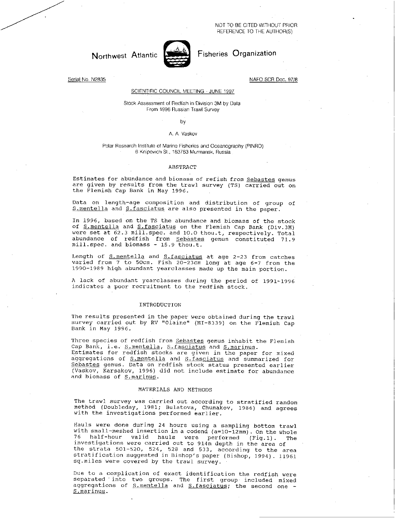NOT TO BE CITED WITHOUT PRIOR REFERENCE TO THE AUTHOR(S)

# Northwest Atlantic



## Fisheries Organization

#### Serial No. N2835 National No. N2835 NAFO SCR Doc. 97/8

#### SCIENTIFIC COUNCIL MEETING - JUNE 1997

#### Stock Assessment of Redfish in Division 3M by Data From 1996 Russian Trawl Survey

#### by

#### A. A. Vaskov

#### Polar Research Institute of Marine Fisheries and Oceanography (PINRO) 6 Knipovich St.. 183763 Murmansk, Russia

#### ABSTRACT

Estimates for abundance and biomass of refish from Sebastes genus are given by results from the trawl survey (TS) carried out on the Flemish Cap Bank in May 1996.

Data on length-age composition and distribution of group of S.mentella and S.fasciatus are also presented in the paper.

In 1996, based on the TS the abundance and biomass of the stock of S.mentella and S.fasciatus on the Flemish Cap Bank (Div.3M) were set at 62.3 mill.spec. and 10.0 thou.t, respectively. Total abundance of redfish from Sebastes genus constituted 71.9  $mill.\,spec.\,and\,biomass - 15.9$  thou.t.

Length of S.mentella and S.fasciatus at age 2-23 from catches varied from 7 to 50cm. Fish 20-23cm long at age 6-7 from the 1990-1989 high abundant yearclasses made up the main portion.

A lack of abundant yearclasses during the period of 1991-1996 indicates a poor recruitment to the redfish stock.

#### INTRODUCTION

The results presented in the paper were obtained during the trawl survey carried out by RV "Olaine" (MI-8339) on the Flemish Cap Bank in May 1996.

Three species of redfish from Sebastes genus inhabit the Flemish Cap Bank, i.e. S.mentella, S.fasciatus and S.marinus.

Estimates for redfish stocks are given in the paper for mixed aggregations of S. mentella and S. fasciatus and summarized for Sebastes genus. Data on redfish stock status presented earlier (Vaskov, Karsakov, 1996) did not include estimate for abundance and biomass of S.marinus.

#### MATERIALS AND METHODS

The trawl survey was carried out according to stratified random method (Doubleday, 1981; Bulatova, Chumakov, 1986) and agrees with the investigations performed earlier.

Hauls were done during 24 hours using a sampling bottom trawl with small-meshed insertion in a codend (a=10-12mm). On the whole<br>76 half-hour - valid - hauls - were - performed - (Fig.1) - mbo half-hour valid hauls were performed (Fig.1). The investigations were carried out to 914m depth in the area of the strata 501-520, 524, 528 and 533, according to the area stratification suggested in Bishop's paper (Bishop, 1994). 11961 sq.miles were covered by the trawl survey.

Due to a complication of exact identification the redfish were separated into two groups. The first group included mixed aggregations of S. mentella and S. fasciatus; the second one -S.marinus.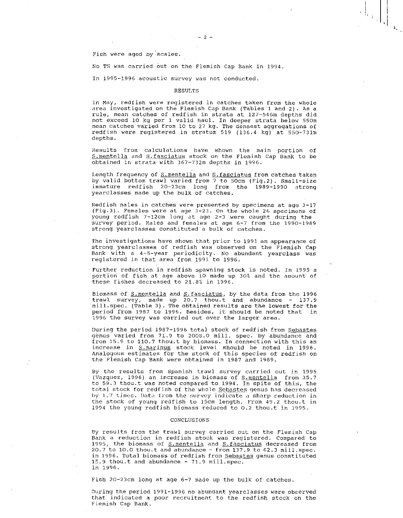Fish were aged by scales.

No TS was carried out on the. Flemish Cap Bank in 1994.

In 1995-1996 acoustic survey was not conducted.

#### RESULTS

In May, redfish were registered in catches taken from the whole area investigated on the Flemish Cap Bank (Tables 1 and 2). As a rule, mean catches of redfish in strata at 127-546m depths did not exceed 10 kg per 1 valid haul. In deeper strata below 550m mean catches varied from 10 to 27 kg. The densest aggregations of redfish were registered in stratum 519 (136.4 kg) at 550-731m depths.

Results from calculations have shown the main portion of S.mentella and S.fasciatus stock on the Flemish Cap Bank to be obtained in strata with 367-732m depths in 1996.

Length frequency of S.mentella and S.fasciatus from catches taken by valid bottom trawl varied from 7 to 50cm (Fig.2). Small-size immature redfish 20-23cm long from the 1989-1990 strong yearclasses made up the bulk of catches.

Redfish males in catches were presented by specimens at age 3-17 (Fig.3). Females were at age 3-23. On the whole 26 specimens of young redfish 7-12cm long at age 2-3 were caught during the survey period. Males and females at age 6-7 from the 1990-1989 strong yearclasses constituted a bulk of catches.

The investigations have shown that prior to 1991 an appearance of strong yearclasses of redfish was observed on the Flemish Cap Bank with a 4-5-year periodicity. No abundant yearclass was registered in that area from 1991 to 1996.

Further reduction in redfish spawning stock is noted. In 1995 a portion of fish at age above 10 made up 30% and the amount of these fishes decreased to 21.8% in 1996.

Biomass of <u>S.mentella</u> and <u>S.fasciatus</u>, by the data from the 1996<br>trawl survey, made up 20.7 thou.t and abundance - 137.9 mill.spec. (Table 3). The obtained results are the lowest for the period from 1987 to 1996. Besides, it should be noted that in 1996 the survey was carried out over the larger area.

During the period 1987-1996 total stock of redfish from Sebastes genus varied from 71.9 to 2008.0 mill. spec. by abundance and from 15.9 to 110.7 thou.t by biomass. In connection with this an increase in S.marinus stock level should be noted in 1996. Analogous estimates for the stock of this species of redfish on the Flemish Cap Bank were obtained in 1987 and 1989.

By the results from Spanish trawl survey carried out in 1995 (Vazquez, 1996) an increase in biomass of S.mentella from 35.7 to 59.3 thou.t was noted compared to 1994. In spite of this, the total stock for redfish of the whole Sebastes genus has decreased by 1.7 times. Data from the survey indicate a sharp reduction in the stock of young redfish to 15cm length. From 49.2 thou.t in 1994 the young redfish biomass reduced to 0.2 thou.t in 1995.

#### CONCLUSIONS

By results from the trawl survey carried out on the Flemish Cap Bank a reduction in redfish stock was registered. Compared to 1995, the biomass of S.mentella and S.fasciatus decreased from  $20.7$  to  $10.0$  thou.t and abundance - from  $137.9$  to  $62.3$  mill.spec. in 1996. Total biomass of redfish from Sebastes genus constituted 15.9 thou.t and abundance - 71.9 mill.spec. in 1996.

Fish 20-23cm long at age 6-7 made up the bulk of catches.

During the period 1991-1996 no abundant yearclasses were observed that indicated a poor recruitment to the redfish stock on the Flemish Cap Bank.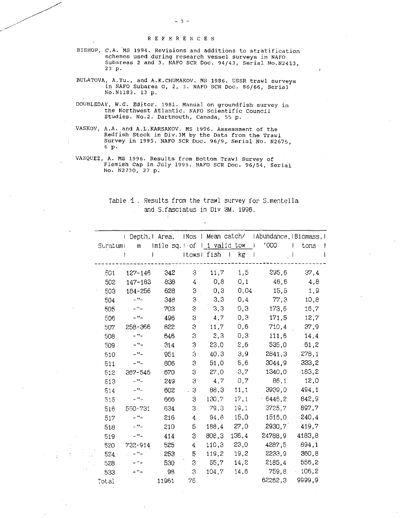### REFERENCES

- BISHOP, C.A. MS 1994. Revisions and additions to stratification schemes used during research vessel surveys in NAFO Subareas 2 and 3. NAFO SCR Doc. 94/43, Serial No. N2413, 23 p.
- BULATOVA, A.Yu., and A.K.CHUMAKOV. MS 1986. USSR trawl surveys in NAFO Subarea O, 2, 3. NAFO SCR Doc. 86/66, Serial No.N1183. 13 p.
- DOUBLEDAY, W.G. Editor. 1981. Manual on groundfish survey in the Northwest Atlantic. NAFO Scientific Council Studies. No.2. Dartmouth, Canada, 55 p.
- VASKOV, A.A. and A.L.KARSAKOV. MS 1996. Assessment of the Redfish Stock in Div.3M by the Data from the Trawl<br>Survey in 1995. NAFO SCR Doc. 96/9, Serial No. N2675, 6 p.
- VAZQUEZ, A. MS 1996. Results from Bottom Trawl Survey of Flemish Cap in July 1995. NAFO SCR Doc. 96/54, Serial No. N2730, 27 p.

|  | Table 1 . Results from the trawl survey for S.mentella |  |  |
|--|--------------------------------------------------------|--|--|
|  | and S.fasciatus in Div 3M, 1996.                       |  |  |

|          | L       | Depth, Farea, INos I Mean catch/   |             |       |                      | IAbundance, IBiomass, I |        |
|----------|---------|------------------------------------|-------------|-------|----------------------|-------------------------|--------|
| Suratuml | m       | imile sq. $\cdot$ of 1 1 valid tow |             |       |                      | '000                    | tons   |
|          |         |                                    | Itowsl fish |       | $\blacksquare$<br>kg |                         |        |
| 501      | 127-146 | 342                                | 3           | 11,7  | 1,5                  | 295,6                   | 37,4   |
| 502      | 147-183 | 838                                | 4           | 0,8   | 0,1                  | 46,6                    | 4,8    |
| 503      | 184-256 | 628                                | З           | 0,3   | 0,04                 | 15,5                    | 1,9    |
| 504      | - ''-   | 348                                | З           | 3,3   | 0,4                  | 77,3                    | 10,8   |
| 505      | - '' -  | 703                                | З           | 3.3   | 0,3                  | 173,6                   | 16,7   |
| 506      | - '' -  | 496                                | 3           | 4,7   | 0,3                  | 171,5                   | 12,7   |
| 507      | 258-366 | 822                                | 3           | 11.7  | 0,6                  | 710.4                   | 37,9   |
| 508      | - ''-   | 646                                | З           | 2,3   | 0,3                  | 111,6                   | 14,4   |
| 509      | -"-     | 314                                | з           | 23.0  | 2,6                  | 535.0                   | 61,2   |
| 510      | - ''-   | 951                                | З           | 40.3  | 3,9                  | 2841,3                  | 278,1  |
| 511      | - '' -  | 806                                | 3           | 51,0  | 5,6                  | 3044.9                  | 333,2  |
| 512      | 367-546 | 670                                | 3           | 27,0  | 3,7                  | 1340,0                  | 183,2  |
| 513      | - '' -  | 249                                | З           | 4,7   | 0,7                  | 86.1                    | 12,0   |
| 514      | - '' -  | 602                                | . 3         | 88.31 | 11,1                 | 3939,0                  | 494,1  |
| 515      | - '' -  | 666                                | 3           | 130,7 | 17,1                 | 6446, 2                 | 842,9  |
| 516      | 550-731 | 634                                | З           | 79.3  | 19,1                 | 3725,7                  | 897,7  |
| 517      | - '' -  | 216                                | 4           | 94,8  | 15,0                 | 1516,0                  | 240,4  |
| 518      | - '' -  | 210                                | 5           | 188.4 | 27,0                 | 2930, 7                 | 419.7  |
| 519      | - ''-   | 414                                | 3           | 808,3 | 136,4                | 24788,9                 | 4183,8 |
| 520      | 732-914 | 525                                | 4           | 110,3 | 23,0                 | 4287.5                  | 894.1  |
| $524 -$  | ساليات  | 253                                | 5           | 119,2 | 19,2                 | 2233,9                  | 360,8  |
| 528      | دالد    | 530                                | 3           | 55,7  | 14,2                 | 2185.4                  | 556,2  |
| 533      | - '' -  | 98                                 | 3           | 104,7 | 14,6                 | 759,8                   | 106, 2 |
| Total    |         | 11961                              | 76          |       |                      | 62262,3                 | 9999,9 |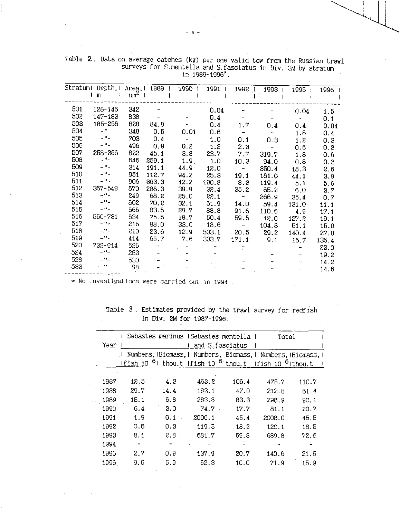|     | Stratuml Depth, Area, I    |         | 1989  | 1990             | 1991  | 1992                     | 1993    | 1995  | 1996  |
|-----|----------------------------|---------|-------|------------------|-------|--------------------------|---------|-------|-------|
|     | $\mathbf{m}$               | $nm^2$  |       |                  |       |                          |         |       |       |
| 501 | 128-146                    | 342     |       |                  | 0.04  |                          |         | 0.04  | 1.5   |
| 502 | 147-183                    | 838     |       |                  | 0.4   |                          |         | 4     | 0.1   |
| 503 | 185-256                    | 628     | 84.9  |                  | 0.4   | 1.7                      | 0.4     | 0.4   | 0.04  |
| 504 | $-$ H $-$                  | 348     | 0.5   | 0.01             | 0.6   | $\overline{\phantom{a}}$ |         | 1.8   | 0.4   |
| 505 | $\omega$ H $\pm$           | 703     | 0.4   |                  | 1.0   | 0.1                      | $0.3$ . | 1.2   | 0.3   |
| 506 | $ -$                       | 496     | 0.9   | 0.2              | 1.2   | 2.3                      |         | 0.6   | 0.3   |
| 507 | 258-366                    | $822 -$ | 45.1  | 3.8              | 23.7  | 7.7                      | 319.7   | 1.8   | 0.6   |
| 508 | $ +$ $-$                   | 646     | 259.1 | 1.9 <sub>1</sub> | 1.0   | 10.3                     | 94.0    | 0.8   | 0.3   |
| 509 | $ -$                       | 314     | 191.1 | 44.9             | 12.0  |                          | 350.4   | 18.3  | 2.6   |
| 510 | $ \mu$ $-$                 | 951     | 112.7 | 94.2             | 25.3  | 19.1                     | 161.0   | 44.1  | 3.9   |
| 511 | $\omega$ $\Omega$ $\omega$ | 806     | 363.3 | 42.2             | 190.8 | 8.3                      | 119.4   | 5.1   | 5.6   |
| 512 | 367-549                    | 670     | 286.3 | 39.9             | 32.4  | 35.2                     | 65.2    | 6.0   | 3.7   |
| 513 | $ \cdots$                  | 249     | 68.2  | 25.0             | 22.1  | $\sim$ $-$               | 266.9   | 35.4  | 0.7   |
| 514 | $ \cdot$ $-$               | 602     | 70.2  | 32.1             | 61.9  | 14.0                     | 59.4    | 131.0 | 11.1  |
| 515 | $ \mathbf{H}_{\infty}$     | 666     | 83.5  | 29.7             | 88.8  | 91.6                     | 110.6   | 4.9   | 17.1  |
| 516 | 550-731                    | 634     | 75.5  | 18.7             | 50.4  | 59.5                     | 12.0    | 127.2 | 19.1  |
| 517 | $ \mathbf{H}$              | 216     | 88.0  | 33.0             | 18.6  | $\sim$ $\sim$            | 104.8   | 51.1  | 15.0  |
| 518 | $\sim -1$                  | 210     | 23.6  | 12.9             | 533.1 | 20.5                     | 29.2    | 140.4 | 27.0  |
| 519 | $ ^{\prime\prime}$ $-$     | 414     | 65.7  | 7.6              | 333.7 | 171.1                    | 9.1     | 16.7  | 136.4 |
| 520 | 732-914                    | 525     |       |                  |       |                          |         |       | 23.0  |
| 524 | $ -$                       | 253     |       |                  |       |                          |         |       | 19.2  |
| 528 | $\omega$ H $\omega$        | 530     |       |                  |       |                          |         |       | 14.2  |
| 533 | $-11-$                     | 98      |       |                  |       |                          |         |       | 14.6  |
|     |                            |         |       |                  |       |                          |         |       |       |

Table 2. Data on average catches (kg) per one valid tow from the Russian trawl surveys for S.mentella and S.fasciatus in Div. 3M by stratum in 1989-1996 \* .

\* No investigations were carried out in 1994 .

|  | Table 3. Estimates provided by the trawl survey for redfish |  |
|--|-------------------------------------------------------------|--|
|  | in Div. 3M for 1987-1996.                                   |  |

|      |      |      | I Sebastes marinus ISebastes mentella I |       | Total                                                                                      |       |
|------|------|------|-----------------------------------------|-------|--------------------------------------------------------------------------------------------|-------|
| Year |      |      | I and S.fasciatus                       |       |                                                                                            |       |
|      |      |      |                                         |       | Numbers, Biomass,   Numbers, Biomass,   Numbers, Biomass,                                  |       |
|      |      |      |                                         |       | Ifish 10 <sup>6</sup> 1 thou.t Ifish 10 <sup>6</sup> 1thou.t Ifish 10 <sup>6</sup> 1thou.t |       |
|      |      |      |                                         |       |                                                                                            |       |
| 1987 | 12.5 | 4.3  | 463.2                                   | 106.4 | 475.7                                                                                      | 110.7 |
| 1988 | 29.7 | 14.4 | 183.1                                   | 47.0  | 212.8                                                                                      | 61.4  |
| 1989 | 15.1 | 6.8  | 283.8                                   | 83.3  | 298.9                                                                                      | 90.1  |
| 1990 | 6.4  | 3.0  | 74.7                                    | 17.7  | 81.1                                                                                       | 20.7  |
| 1991 | 1.9  | 0.1  | 2006.1                                  | 45.4  | 2008.0                                                                                     | 45.5  |
| 1992 | 0.6  | 0.3  | 119.5                                   | 18.2  | 120.1                                                                                      | 18.5  |
| 1993 | 8.1  | 2.8  | 681.7                                   | 69.8  | 689.8                                                                                      | 72.6  |
| 1994 |      |      |                                         |       |                                                                                            |       |
| 1995 | 2.7  | 0.9  | 137.9                                   | 20.7  | 140.6                                                                                      | 21.6  |
| 1996 | 9.6  | 5.9  | 62.3                                    | 10.0  | 71.9                                                                                       | 15.9  |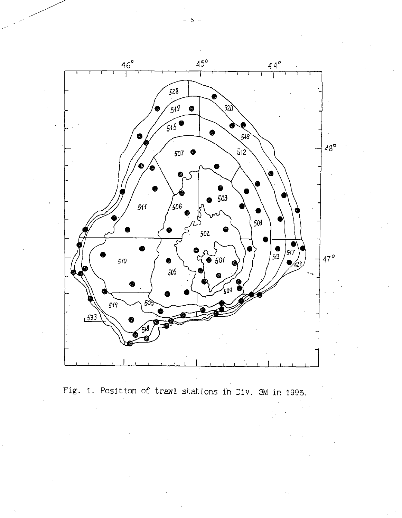

Fig. 1. Position of trawl stations in Div. 3M in 1996.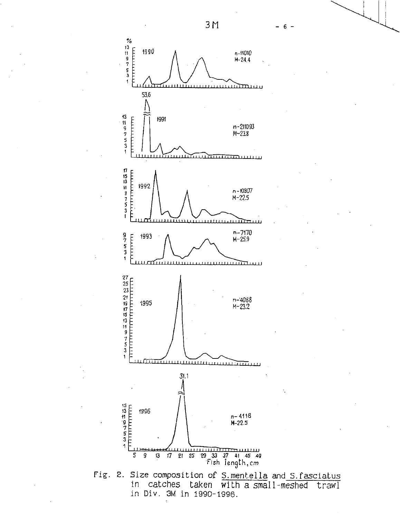

Fig. 2. Size composition of <u>S.mentella</u> and <u>S.fasciatus</u> in catches taken with a small-meshed trawl in Div. 3M in 1990-1996.